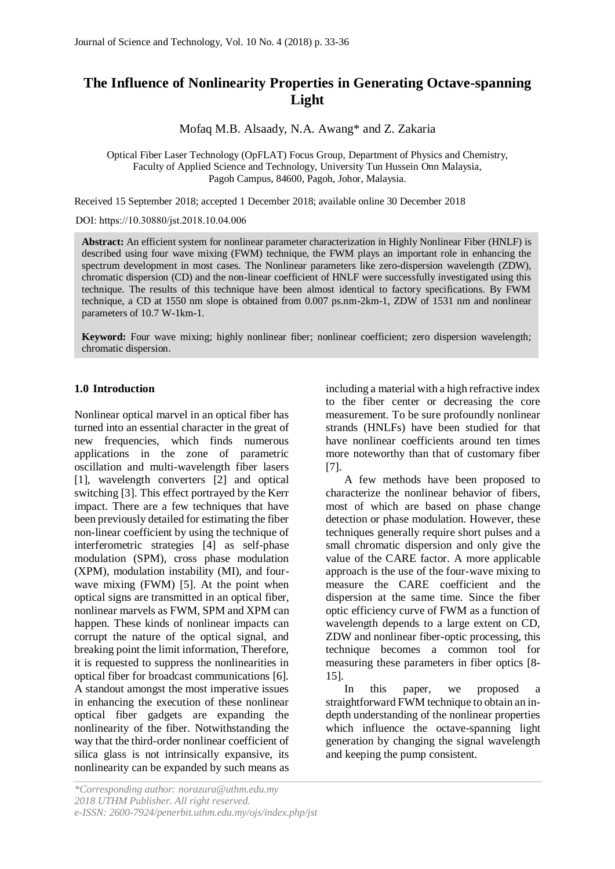# **The Influence of Nonlinearity Properties in Generating Octave-spanning Light**

Mofaq M.B. Alsaady, N.A. Awang\* and Z. Zakaria

Optical Fiber Laser Technology (OpFLAT) Focus Group, Department of Physics and Chemistry, Faculty of Applied Science and Technology, University Tun Hussein Onn Malaysia, Pagoh Campus, 84600, Pagoh, Johor, Malaysia.

Received 15 September 2018; accepted 1 December 2018; available online 30 December 2018

DOI: https://10.30880/jst.2018.10.04.006

**Abstract:** An efficient system for nonlinear parameter characterization in Highly Nonlinear Fiber (HNLF) is described using four wave mixing (FWM) technique, the FWM plays an important role in enhancing the spectrum development in most cases. The Nonlinear parameters like zero-dispersion wavelength (ZDW), chromatic dispersion (CD) and the non-linear coefficient of HNLF were successfully investigated using this technique. The results of this technique have been almost identical to factory specifications. By FWM technique, a CD at 1550 nm slope is obtained from 0.007 ps.nm-2km-1, ZDW of 1531 nm and nonlinear parameters of 10.7 W-1km-1.

**Keyword:** Four wave mixing; highly nonlinear fiber; nonlinear coefficient; zero dispersion wavelength; chromatic dispersion.

## **1.0 Introduction**

Nonlinear optical marvel in an optical fiber has turned into an essential character in the great of new frequencies, which finds numerous applications in the zone of parametric oscillation and multi-wavelength fiber lasers [1], wavelength converters [2] and optical switching [3]. This effect portrayed by the Kerr impact. There are a few techniques that have been previously detailed for estimating the fiber non-linear coefficient by using the technique of interferometric strategies [4] as self-phase modulation (SPM), cross phase modulation (XPM), modulation instability (MI), and fourwave mixing (FWM) [5]. At the point when optical signs are transmitted in an optical fiber, nonlinear marvels as FWM, SPM and XPM can happen. These kinds of nonlinear impacts can corrupt the nature of the optical signal, and breaking point the limit information, Therefore, it is requested to suppress the nonlinearities in optical fiber for broadcast communications [6]. A standout amongst the most imperative issues in enhancing the execution of these nonlinear optical fiber gadgets are expanding the nonlinearity of the fiber. Notwithstanding the way that the third-order nonlinear coefficient of silica glass is not intrinsically expansive, its nonlinearity can be expanded by such means as

including a material with a high refractive index to the fiber center or decreasing the core measurement. To be sure profoundly nonlinear strands (HNLFs) have been studied for that have nonlinear coefficients around ten times more noteworthy than that of customary fiber [7].

A few methods have been proposed to characterize the nonlinear behavior of fibers, most of which are based on phase change detection or phase modulation. However, these techniques generally require short pulses and a small chromatic dispersion and only give the value of the CARE factor. A more applicable approach is the use of the four-wave mixing to measure the CARE coefficient and the dispersion at the same time. Since the fiber optic efficiency curve of FWM as a function of wavelength depends to a large extent on CD, ZDW and nonlinear fiber-optic processing, this technique becomes a common tool for measuring these parameters in fiber optics [8- 15].

In this paper, we proposed straightforward FWM technique to obtain an indepth understanding of the nonlinear properties which influence the octave-spanning light generation by changing the signal wavelength and keeping the pump consistent.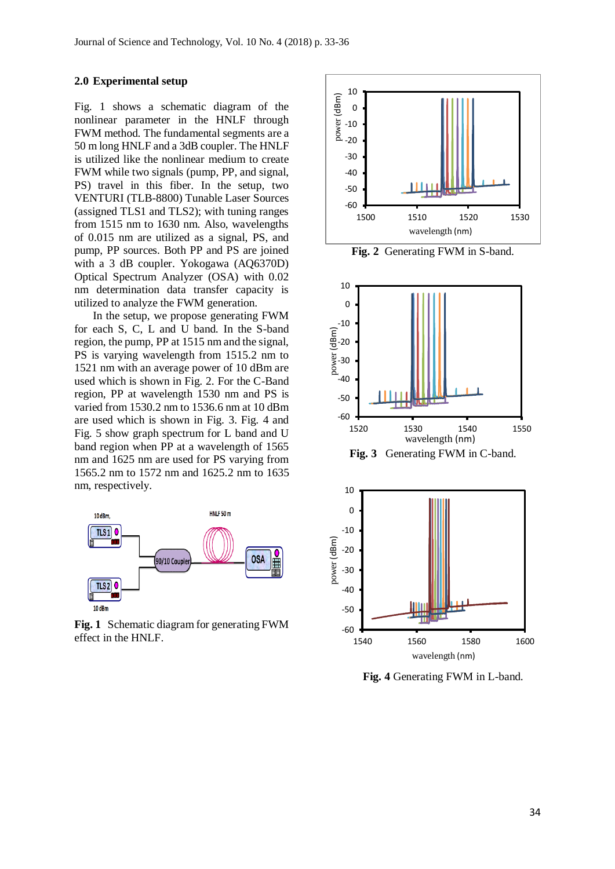#### **2.0 Experimental setup**

Fig. 1 shows a schematic diagram of the nonlinear parameter in the HNLF through FWM method. The fundamental segments are a 50 m long HNLF and a 3dB coupler. The HNLF is utilized like the nonlinear medium to create FWM while two signals (pump, PP, and signal, PS) travel in this fiber. In the setup, two VENTURI (TLB-8800) Tunable Laser Sources (assigned TLS1 and TLS2); with tuning ranges from 1515 nm to 1630 nm. Also, wavelengths of 0.015 nm are utilized as a signal, PS, and pump, PP sources. Both PP and PS are joined with a 3 dB coupler. Yokogawa (AQ6370D) Optical Spectrum Analyzer (OSA) with 0.02 nm determination data transfer capacity is utilized to analyze the FWM generation.

In the setup, we propose generating FWM for each S, C, L and U band. In the S-band region, the pump, PP at 1515 nm and the signal, PS is varying wavelength from 1515.2 nm to 1521 nm with an average power of 10 dBm are used which is shown in Fig. 2. For the C-Band region, PP at wavelength 1530 nm and PS is varied from 1530.2 nm to 1536.6 nm at 10 dBm are used which is shown in Fig. 3. Fig. 4 and Fig. 5 show graph spectrum for L band and U band region when PP at a wavelength of 1565 nm and 1625 nm are used for PS varying from 1565.2 nm to 1572 nm and 1625.2 nm to 1635 nm, respectively.



**Fig. 1** Schematic diagram for generating FWM effect in the HNLF.



**Fig. 2** Generating FWM in S-band.



**Fig. 3** Generating FWM in C-band.



**Fig. 4** Generating FWM in L-band.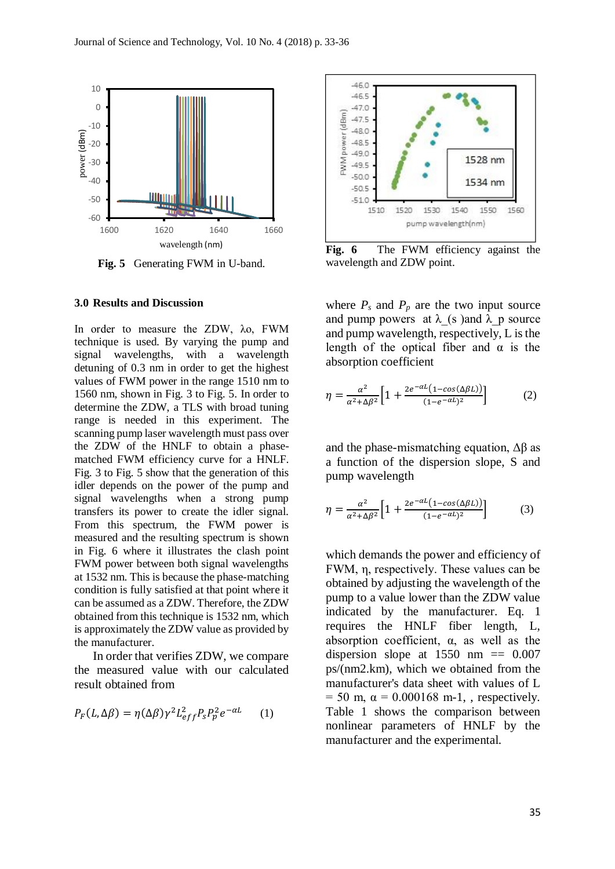

**Fig. 5** Generating FWM in U-band.

### **3.0 Results and Discussion**

In order to measure the ZDW, λo, FWM technique is used. By varying the pump and signal wavelengths, with a wavelength detuning of 0.3 nm in order to get the highest values of FWM power in the range 1510 nm to 1560 nm, shown in Fig. 3 to Fig. 5. In order to determine the ZDW, a TLS with broad tuning range is needed in this experiment. The scanning pump laser wavelength must pass over the ZDW of the HNLF to obtain a phasematched FWM efficiency curve for a HNLF. Fig. 3 to Fig. 5 show that the generation of this idler depends on the power of the pump and signal wavelengths when a strong pump transfers its power to create the idler signal. From this spectrum, the FWM power is measured and the resulting spectrum is shown in Fig. 6 where it illustrates the clash point FWM power between both signal wavelengths at 1532 nm. This is because the phase-matching condition is fully satisfied at that point where it can be assumed as a ZDW. Therefore, the ZDW obtained from this technique is 1532 nm, which is approximately the ZDW value as provided by the manufacturer.

In order that verifies ZDW, we compare the measured value with our calculated result obtained from

$$
P_F(L, \Delta \beta) = \eta(\Delta \beta) \gamma^2 L_{eff}^2 P_s P_p^2 e^{-\alpha L} \qquad (1)
$$



**Fig. 6** The FWM efficiency against the wavelength and ZDW point.

where  $P_s$  and  $P_p$  are the two input source and pump powers at  $\lambda$  (s )and  $\lambda$  p source and pump wavelength, respectively, L is the length of the optical fiber and  $\alpha$  is the absorption coefficient

$$
\eta = \frac{\alpha^2}{\alpha^2 + \Delta \beta^2} \left[ 1 + \frac{2e^{-\alpha L} (1 - \cos(\Delta \beta L))}{(1 - e^{-\alpha L})^2} \right] \tag{2}
$$

and the phase-mismatching equation,  $\Delta \beta$  as a function of the dispersion slope, S and pump wavelength

$$
\eta = \frac{\alpha^2}{\alpha^2 + \Delta \beta^2} \left[ 1 + \frac{2e^{-\alpha L} (1 - \cos(\Delta \beta L))}{(1 - e^{-\alpha L})^2} \right] \tag{3}
$$

which demands the power and efficiency of FWM, η, respectively. These values can be obtained by adjusting the wavelength of the pump to a value lower than the ZDW value indicated by the manufacturer. Eq. 1 requires the HNLF fiber length, L, absorption coefficient, α, as well as the dispersion slope at  $1550 \text{ nm} = 0.007$ ps/(nm2.km), which we obtained from the manufacturer's data sheet with values of L  $= 50$  m,  $\alpha = 0.000168$  m-1, , respectively. Table 1 shows the comparison between nonlinear parameters of HNLF by the manufacturer and the experimental.